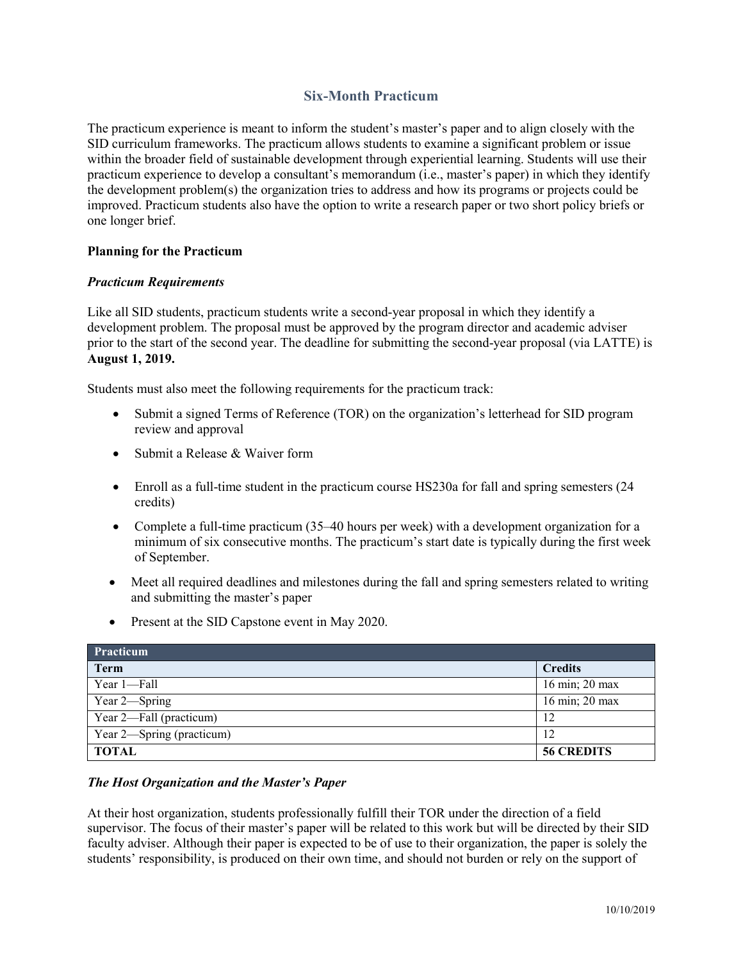# **Six-Month Practicum**

The practicum experience is meant to inform the student's master's paper and to align closely with the SID curriculum frameworks. The practicum allows students to examine a significant problem or issue within the broader field of sustainable development through experiential learning. Students will use their practicum experience to develop a consultant's memorandum (i.e., master's paper) in which they identify the development problem(s) the organization tries to address and how its programs or projects could be improved. Practicum students also have the option to write a research paper or two short policy briefs or one longer brief.

## **Planning for the Practicum**

## *Practicum Requirements*

Like all SID students, practicum students write a second-year proposal in which they identify a development problem. The proposal must be approved by the program director and academic adviser prior to the start of the second year. The deadline for submitting the second-year proposal (via LATTE) is **August 1, 2019.**

Students must also meet the following requirements for the practicum track:

- Submit a signed Terms of Reference (TOR) on the organization's letterhead for SID program review and approval
- Submit a Release & Waiver form
- Enroll as a full-time student in the practicum course HS230a for fall and spring semesters (24 credits)
- Complete a full-time practicum (35–40 hours per week) with a development organization for a minimum of six consecutive months. The practicum's start date is typically during the first week of September.
- Meet all required deadlines and milestones during the fall and spring semesters related to writing and submitting the master's paper
- Present at the SID Capstone event in May 2020.

| Practicum <sup>'</sup>    |                   |
|---------------------------|-------------------|
| <b>Term</b>               | <b>Credits</b>    |
| Year 1-Fall               | 16 min; 20 max    |
| Year 2—Spring             | 16 min; 20 max    |
| Year 2—Fall (practicum)   | 12                |
| Year 2—Spring (practicum) | 12                |
| <b>TOTAL</b>              | <b>56 CREDITS</b> |

## *The Host Organization and the Master's Paper*

At their host organization, students professionally fulfill their TOR under the direction of a field supervisor. The focus of their master's paper will be related to this work but will be directed by their SID faculty adviser. Although their paper is expected to be of use to their organization, the paper is solely the students' responsibility, is produced on their own time, and should not burden or rely on the support of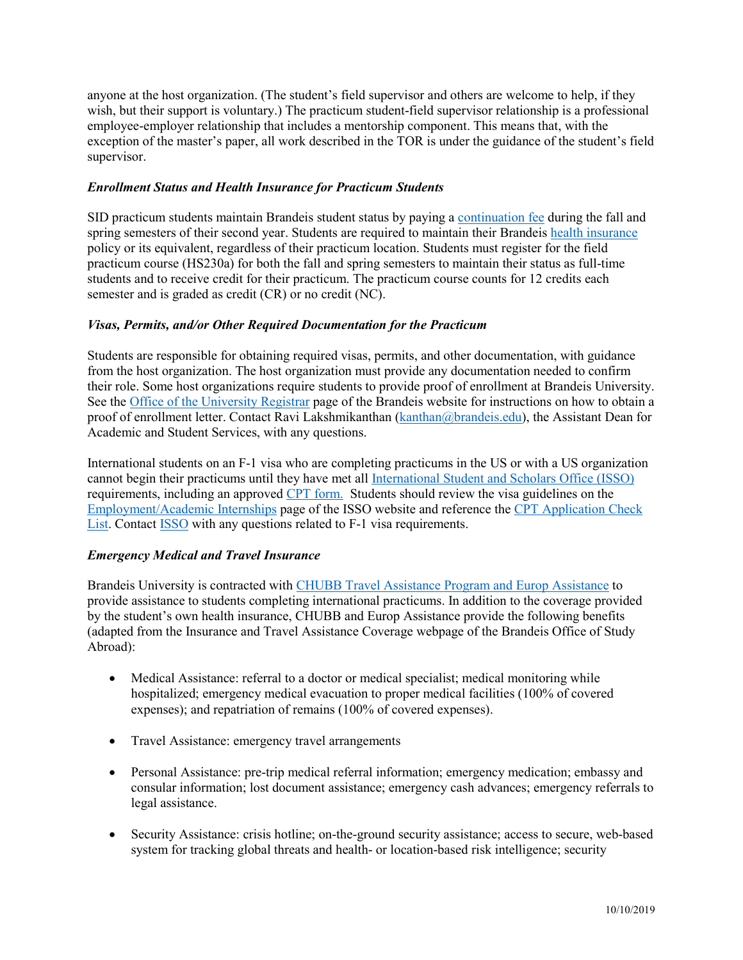anyone at the host organization. (The student's field supervisor and others are welcome to help, if they wish, but their support is voluntary.) The practicum student-field supervisor relationship is a professional employee-employer relationship that includes a mentorship component. This means that, with the exception of the master's paper, all work described in the TOR is under the guidance of the student's field supervisor.

## *Enrollment Status and Health Insurance for Practicum Students*

SID practicum students maintain Brandeis student status by paying a [continuation fee](https://heller.brandeis.edu/admissions/pdfs/2016-2017-costs/sid-coa-16.pdf) during the fall and spring semesters of their second year. Students are required to maintain their Brandeis [health insurance](http://www.brandeis.edu/health/insurance/index.html) policy or its equivalent, regardless of their practicum location. Students must register for the field practicum course (HS230a) for both the fall and spring semesters to maintain their status as full-time students and to receive credit for their practicum. The practicum course counts for 12 credits each semester and is graded as credit (CR) or no credit (NC).

# *Visas, Permits, and/or Other Required Documentation for the Practicum*

Students are responsible for obtaining required visas, permits, and other documentation, with guidance from the host organization. The host organization must provide any documentation needed to confirm their role. Some host organizations require students to provide proof of enrollment at Brandeis University. See the [Office of the University Registrar](mailto:http://www.brandeis.edu/registrar/transcript/enrollment.html) page of the Brandeis website for instructions on how to obtain a proof of enrollment letter. Contact Ravi Lakshmikanthan [\(kanthan@brandeis.edu\)](mailto:kanthan@brandeis.edu), the Assistant Dean for Academic and Student Services, with any questions.

International students on an F-1 visa who are completing practicums in the US or with a US organization cannot begin their practicums until they have met all [International Student and Scholars Office \(ISSO\)](https://www.brandeis.edu/isso/) requirements, including an approved [CPT form.](mailto:http://www.brandeis.edu/isso/current/employment/cpt/) Students should review the visa guidelines on the [Employment/Academic Internships](https://www.brandeis.edu/isso/current/employment/index.html) page of the ISSO website and reference the [CPT Application Check](https://brandeis.edu/isso/documents/current/employment/cpt/CPT_Application_Check_List.pdf)  [List.](https://brandeis.edu/isso/documents/current/employment/cpt/CPT_Application_Check_List.pdf) Contact [ISSO](https://www.brandeis.edu/isso/about/contact.html) with any questions related to F-1 visa requirements.

# *Emergency Medical and Travel Insurance*

Brandeis University is contracted with [CHUBB Travel Assistance Program and Europ Assistance](https://eservices.europassistance-usa.com/sites/ACEAandH/Anon/Pages/Welcome.aspx?ReturnUrl=/sites/aceaandh/_layouts/Authenticate.aspx?Source=%2Fsites%2Faceaandh®Prompt=1) to provide assistance to students completing international practicums. In addition to the coverage provided by the student's own health insurance, CHUBB and Europ Assistance provide the following benefits (adapted from the Insurance and Travel Assistance Coverage webpage of the Brandeis Office of Study Abroad):

- Medical Assistance: referral to a doctor or medical specialist; medical monitoring while hospitalized; emergency medical evacuation to proper medical facilities (100% of covered expenses); and repatriation of remains (100% of covered expenses).
- Travel Assistance: emergency travel arrangements
- Personal Assistance: pre-trip medical referral information; emergency medication; embassy and consular information; lost document assistance; emergency cash advances; emergency referrals to legal assistance.
- Security Assistance: crisis hotline; on-the-ground security assistance; access to secure, web-based system for tracking global threats and health- or location-based risk intelligence; security